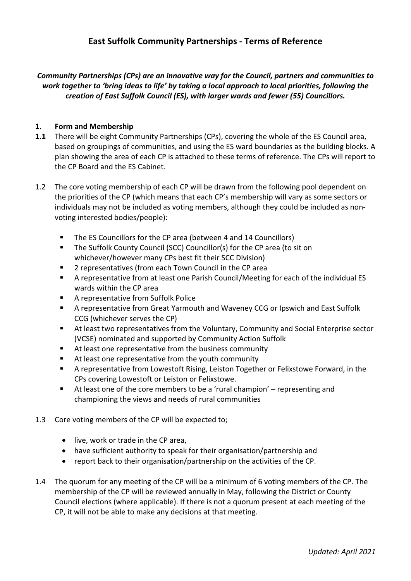# **East Suffolk Community Partnerships ‐ Terms of Reference**

*Community Partnerships (CPs) are an innovative way for the Council, partners and communities to work together to 'bring ideas to life' by taking a local approach to local priorities, following the creation of East Suffolk Council (ES), with larger wards and fewer (55) Councillors.*

#### **1. Form and Membership**

- **1.1** There will be eight Community Partnerships (CPs), covering the whole of the ES Council area, based on groupings of communities, and using the ES ward boundaries as the building blocks. A plan showing the area of each CP is attached to these terms of reference. The CPs will report to the CP Board and the ES Cabinet.
- 1.2 The core voting membership of each CP will be drawn from the following pool dependent on the priorities of the CP (which means that each CP's membership will vary as some sectors or individuals may not be included as voting members, although they could be included as non‐ voting interested bodies/people):
	- The ES Councillors for the CP area (between 4 and 14 Councillors)
	- The Suffolk County Council (SCC) Councillor(s) for the CP area (to sit on whichever/however many CPs best fit their SCC Division)
	- **2** representatives (from each Town Council in the CP area
	- A representative from at least one Parish Council/Meeting for each of the individual ES wards within the CP area
	- A representative from Suffolk Police
	- A representative from Great Yarmouth and Waveney CCG or Ipswich and East Suffolk CCG (whichever serves the CP)
	- At least two representatives from the Voluntary, Community and Social Enterprise sector (VCSE) nominated and supported by Community Action Suffolk
	- At least one representative from the business community
	- At least one representative from the youth community
	- A representative from Lowestoft Rising, Leiston Together or Felixstowe Forward, in the CPs covering Lowestoft or Leiston or Felixstowe.
	- At least one of the core members to be a 'rural champion' representing and championing the views and needs of rural communities
- 1.3 Core voting members of the CP will be expected to;
	- live, work or trade in the CP area,
	- have sufficient authority to speak for their organisation/partnership and
	- report back to their organisation/partnership on the activities of the CP.
- 1.4 The quorum for any meeting of the CP will be a minimum of 6 voting members of the CP. The membership of the CP will be reviewed annually in May, following the District or County Council elections (where applicable). If there is not a quorum present at each meeting of the CP, it will not be able to make any decisions at that meeting.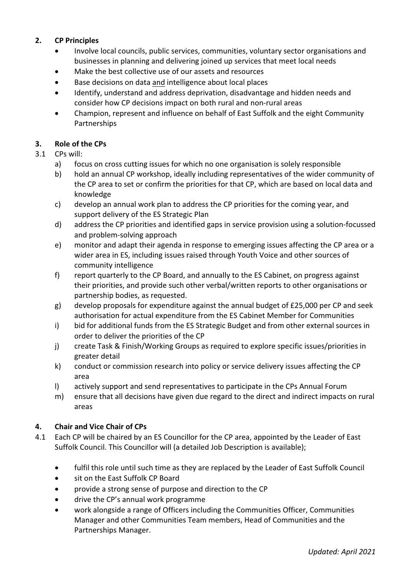## **2. CP Principles**

- Involve local councils, public services, communities, voluntary sector organisations and businesses in planning and delivering joined up services that meet local needs
- Make the best collective use of our assets and resources
- Base decisions on data and intelligence about local places
- Identify, understand and address deprivation, disadvantage and hidden needs and consider how CP decisions impact on both rural and non‐rural areas
- Champion, represent and influence on behalf of East Suffolk and the eight Community Partnerships

## **3. Role of the CPs**

- 3.1 CPs will:
	- a) focus on cross cutting issues for which no one organisation is solely responsible
	- b) hold an annual CP workshop, ideally including representatives of the wider community of the CP area to set or confirm the priorities for that CP, which are based on local data and knowledge
	- c) develop an annual work plan to address the CP priorities for the coming year, and support delivery of the ES Strategic Plan
	- d) address the CP priorities and identified gaps in service provision using a solution‐focussed and problem‐solving approach
	- e) monitor and adapt their agenda in response to emerging issues affecting the CP area or a wider area in ES, including issues raised through Youth Voice and other sources of community intelligence
	- f) report quarterly to the CP Board, and annually to the ES Cabinet, on progress against their priorities, and provide such other verbal/written reports to other organisations or partnership bodies, as requested.
	- g) develop proposals for expenditure against the annual budget of £25,000 per CP and seek authorisation for actual expenditure from the ES Cabinet Member for Communities
	- i) bid for additional funds from the ES Strategic Budget and from other external sources in order to deliver the priorities of the CP
	- j) create Task & Finish/Working Groups as required to explore specific issues/priorities in greater detail
	- k) conduct or commission research into policy or service delivery issues affecting the CP area
	- l) actively support and send representatives to participate in the CPs Annual Forum
	- m) ensure that all decisions have given due regard to the direct and indirect impacts on rural areas

## **4. Chair and Vice Chair of CPs**

- 4.1 Each CP will be chaired by an ES Councillor for the CP area, appointed by the Leader of East Suffolk Council. This Councillor will (a detailed Job Description is available);
	- fulfil this role until such time as they are replaced by the Leader of East Suffolk Council
	- sit on the East Suffolk CP Board
	- provide a strong sense of purpose and direction to the CP
	- drive the CP's annual work programme
	- work alongside a range of Officers including the Communities Officer, Communities Manager and other Communities Team members, Head of Communities and the Partnerships Manager.